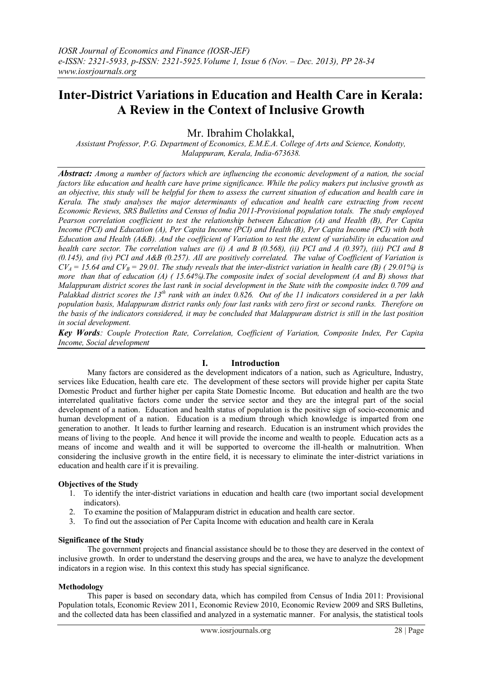# **Inter-District Variations in Education and Health Care in Kerala: A Review in the Context of Inclusive Growth**

Mr. Ibrahim Cholakkal,

*Assistant Professor, P.G. Department of Economics, E.M.E.A. College of Arts and Science, Kondotty, Malappuram, Kerala, India-673638.*

*Abstract: Among a number of factors which are influencing the economic development of a nation, the social factors like education and health care have prime significance. While the policy makers put inclusive growth as an objective, this study will be helpful for them to assess the current situation of education and health care in Kerala. The study analyses the major determinants of education and health care extracting from recent Economic Reviews, SRS Bulletins and Census of India 2011-Provisional population totals. The study employed Pearson correlation coefficient to test the relationship between Education (A) and Health (B), Per Capita Income (PCI) and Education (A), Per Capita Income (PCI) and Health (B), Per Capita Income (PCI) with both Education and Health (A&B). And the coefficient of Variation to test the extent of variability in education and health care sector. The correlation values are (i) A and B (0.568), (ii) PCI and A (0.397), (iii) PCI and B (0.145), and (iv) PCI and A&B (0.257). All are positively correlated. The value of Coefficient of Variation is*   $CV_A = 15.64$  and  $CV_B = 29.01$ . The study reveals that the inter-district variation in health care (B) (29.01%) is *more than that of education (A) ( 15.64%).The composite index of social development (A and B) shows that Malappuram district scores the last rank in social development in the State with the composite index 0.709 and Palakkad district scores the 13th rank with an index 0.826. Out of the 11 indicators considered in a per lakh population basis, Malappuram district ranks only four last ranks with zero first or second ranks. Therefore on the basis of the indicators considered, it may be concluded that Malappuram district is still in the last position in social development.* 

*Key Words: Couple Protection Rate, Correlation, Coefficient of Variation, Composite Index, Per Capita Income, Social development*

# **I. Introduction**

 Many factors are considered as the development indicators of a nation, such as Agriculture, Industry, services like Education, health care etc. The development of these sectors will provide higher per capita State Domestic Product and further higher per capita State Domestic Income. But education and health are the two interrelated qualitative factors come under the service sector and they are the integral part of the social development of a nation. Education and health status of population is the positive sign of socio-economic and human development of a nation. Education is a medium through which knowledge is imparted from one generation to another. It leads to further learning and research. Education is an instrument which provides the means of living to the people. And hence it will provide the income and wealth to people. Education acts as a means of income and wealth and it will be supported to overcome the ill-health or malnutrition. When considering the inclusive growth in the entire field, it is necessary to eliminate the inter-district variations in education and health care if it is prevailing.

# **Objectives of the Study**

- 1. To identify the inter-district variations in education and health care (two important social development indicators).
- 2. To examine the position of Malappuram district in education and health care sector.
- 3. To find out the association of Per Capita Income with education and health care in Kerala

### **Significance of the Study**

 The government projects and financial assistance should be to those they are deserved in the context of inclusive growth. In order to understand the deserving groups and the area, we have to analyze the development indicators in a region wise. In this context this study has special significance.

### **Methodology**

 This paper is based on secondary data, which has compiled from Census of India 2011: Provisional Population totals, Economic Review 2011, Economic Review 2010, Economic Review 2009 and SRS Bulletins, and the collected data has been classified and analyzed in a systematic manner. For analysis, the statistical tools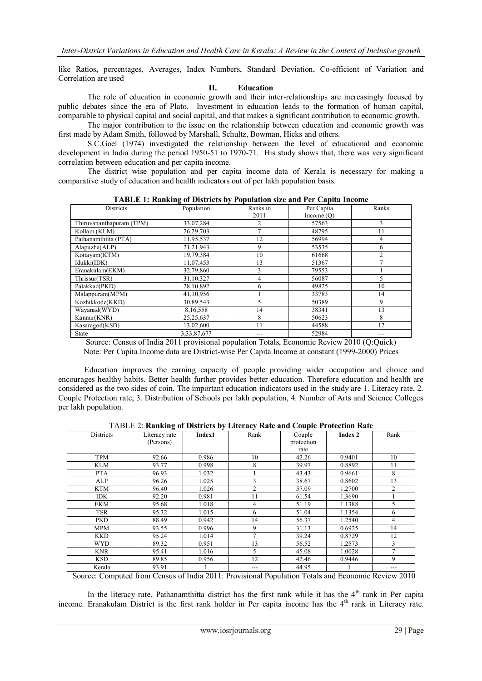like Ratios, percentages, Averages, Index Numbers, Standard Deviation, Co-efficient of Variation and Correlation are used

#### **II. Education**

 The role of education in economic growth and their inter-relationships are increasingly focused by public debates since the era of Plato. Investment in education leads to the formation of human capital, comparable to physical capital and social capital, and that makes a significant contribution to economic growth.

 The major contribution to the issue on the relationship between education and economic growth was first made by Adam Smith, followed by Marshall, Schultz, Bowman, Hicks and others.

S.C.Goel (1974) investigated the relationship between the level of educational and economic development in India during the period 1950-51 to 1970-71. His study shows that, there was very significant correlation between education and per capita income.

 The district wise population and per capita income data of Kerala is necessary for making a comparative study of education and health indicators out of per lakh population basis.

|                          | <b>THDEE</b> I, Ramming of Districts by Topulation size and I et Capita Income |                  |                            |                |
|--------------------------|--------------------------------------------------------------------------------|------------------|----------------------------|----------------|
| <b>Districts</b>         | Population                                                                     | Ranks in<br>2011 | Per Capita<br>Income $(O)$ | Ranks          |
| Thiruvananthapuram (TPM) | 33,07,284                                                                      | $\overline{c}$   | 57563                      | $\mathbf{3}$   |
| Kollam (KLM)             | 26,29,703                                                                      |                  | 48795                      | 11             |
| Pathanamthitta (PTA)     | 11,95,537                                                                      | 12               | 56994                      | 4              |
| Alapuzha(ALP)            | 21,21,943                                                                      | 9                | 53535                      | 6              |
| Kottavam(KTM)            | 19,79,384                                                                      | 10               | 61668                      | $\mathfrak{D}$ |
| Idukki(IDK)              | 11,07,453                                                                      | 13               | 51367                      |                |
| Eranakulam(EKM)          | 32,79,860                                                                      | 3                | 79553                      |                |
| Thrissur(TSR)            | 31,10,327                                                                      | 4                | 56087                      | 5              |
| Palakkad(PKD)            | 28,10,892                                                                      | 6                | 49825                      | 10             |
| Malappuram(MPM)          | 41,10,956                                                                      |                  | 33783                      | 14             |
| Kozhikkode(KKD)          | 30,89,543                                                                      | 5                | 50389                      | 9              |
| Wayanad(WYD)             | 8,16,558                                                                       | 14               | 38341                      | 13             |
| Kannur(KNR)              | 25, 25, 637                                                                    | 8                | 50623                      | 8              |
| Kasaragod(KSD)           | 13,02,600                                                                      | 11               | 44588                      | 12             |
| State                    | 3,33,87,677                                                                    |                  | 52984                      |                |

**TABLE 1: Ranking of Districts by Population size and Per Capita Income**

Source: Census of India 2011 provisional population Totals, Economic Review 2010 (Q:Quick) Note: Per Capita Income data are District-wise Per Capita Income at constant (1999-2000) Prices

 Education improves the earning capacity of people providing wider occupation and choice and encourages healthy habits. Better health further provides better education. Therefore education and health are considered as the two sides of coin. The important education indicators used in the study are 1. Literacy rate, 2. Couple Protection rate, 3. Distribution of Schools per lakh population, 4. Number of Arts and Science Colleges per lakh population.

TABLE 2: **Ranking of Districts by Literacy Rate and Couple Protection Rate**

| <b>Districts</b> | Literacy rate | Index1 | Rank           | Couple     | Index 2 | Rank           |
|------------------|---------------|--------|----------------|------------|---------|----------------|
|                  | (Persons)     |        |                | protection |         |                |
|                  |               |        |                | rate       |         |                |
| <b>TPM</b>       | 92.66         | 0.986  | 10             | 42.26      | 0.9401  | 10             |
| <b>KLM</b>       | 93.77         | 0.998  | 8              | 39.97      | 0.8892  | 11             |
| <b>PTA</b>       | 96.93         | 1.032  |                | 43.43      | 0.9661  | 8              |
| ALP              | 96.26         | 1.025  | 3              | 38.67      | 0.8602  | 13             |
| <b>KTM</b>       | 96.40         | 1.026  | $\overline{2}$ | 57.09      | 1.2700  | $\overline{c}$ |
| <b>IDK</b>       | 92.20         | 0.981  | 11             | 61.54      | 1.3690  |                |
| <b>EKM</b>       | 95.68         | 1.018  | $\overline{4}$ | 51.19      | 1.1388  | 5              |
| <b>TSR</b>       | 95.32         | 1.015  | 6              | 51.04      | 1.1354  | 6              |
| <b>PKD</b>       | 88.49         | 0.942  | 14             | 56.37      | 1.2540  | $\overline{4}$ |
| <b>MPM</b>       | 93.55         | 0.996  | 9              | 31.13      | 0.6925  | 14             |
| <b>KKD</b>       | 95.24         | 1.014  | 7              | 39.24      | 0.8729  | 12             |
| <b>WYD</b>       | 89.32         | 0.951  | 13             | 56.52      | 1.2573  | 3              |
| <b>KNR</b>       | 95.41         | 1.016  | 5              | 45.08      | 1.0028  | 7              |
| <b>KSD</b>       | 89.85         | 0.956  | 12             | 42.46      | 0.9446  | 9              |
| Kerala           | 93.91         |        | ---            | 44.95      |         | $- - -$        |

Source: Computed from Census of India 2011: Provisional Population Totals and Economic Review 2010

In the literacy rate, Pathanamthitta district has the first rank while it has the  $4<sup>th</sup>$  rank in Per capita income. Eranakulam District is the first rank holder in Per capita income has the 4th rank in Literacy rate.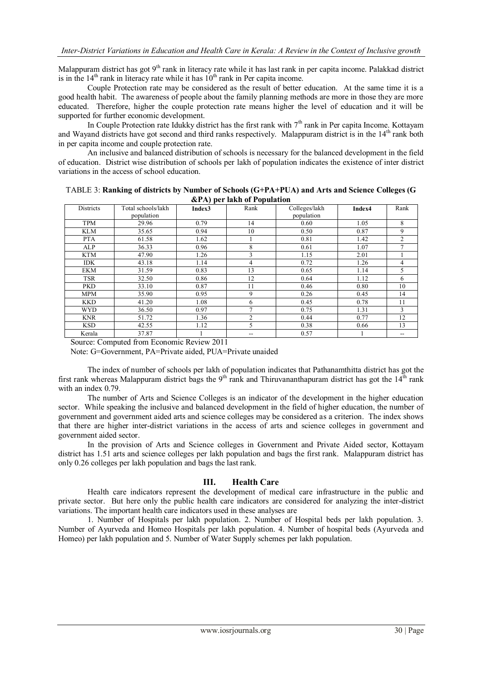Malappuram district has got 9<sup>th</sup> rank in literacy rate while it has last rank in per capita income. Palakkad district is in the  $14<sup>th</sup>$  rank in literacy rate while it has  $10<sup>th</sup>$  rank in Per capita income.

 Couple Protection rate may be considered as the result of better education. At the same time it is a good health habit. The awareness of people about the family planning methods are more in those they are more educated. Therefore, higher the couple protection rate means higher the level of education and it will be supported for further economic development.

In Couple Protection rate Idukky district has the first rank with  $7<sup>th</sup>$  rank in Per capita Income. Kottayam and Wayand districts have got second and third ranks respectively. Malappuram district is in the 14<sup>th</sup> rank both in per capita income and couple protection rate.

 An inclusive and balanced distribution of schools is necessary for the balanced development in the field of education. District wise distribution of schools per lakh of population indicates the existence of inter district variations in the access of school education.

|            | $\alpha$ $(A)$ per takin of Population |        |                |                             |        |                |  |
|------------|----------------------------------------|--------|----------------|-----------------------------|--------|----------------|--|
| Districts  | Total schools/lakh<br>population       | Index3 | Rank           | Colleges/lakh<br>population | Index4 | Rank           |  |
|            |                                        |        |                |                             |        |                |  |
| <b>TPM</b> | 29.96                                  | 0.79   | 14             | 0.60                        | 1.05   | 8              |  |
| <b>KLM</b> | 35.65                                  | 0.94   | 10             | 0.50                        | 0.87   | 9              |  |
| <b>PTA</b> | 61.58                                  | 1.62   |                | 0.81                        | 1.42   | $\overline{c}$ |  |
| ALP        | 36.33                                  | 0.96   | 8              | 0.61                        | 1.07   | 7              |  |
| <b>KTM</b> | 47.90                                  | 1.26   | 3              | 1.15                        | 2.01   |                |  |
| <b>IDK</b> | 43.18                                  | 1.14   | 4              | 0.72                        | 1.26   | 4              |  |
| <b>EKM</b> | 31.59                                  | 0.83   | 13             | 0.65                        | 1.14   | 5              |  |
| <b>TSR</b> | 32.50                                  | 0.86   | 12             | 0.64                        | 1.12   | 6              |  |
| <b>PKD</b> | 33.10                                  | 0.87   | 11             | 0.46                        | 0.80   | 10             |  |
| <b>MPM</b> | 35.90                                  | 0.95   | 9              | 0.26                        | 0.45   | 14             |  |
| <b>KKD</b> | 41.20                                  | 1.08   | 6              | 0.45                        | 0.78   | 11             |  |
| <b>WYD</b> | 36.50                                  | 0.97   | 7              | 0.75                        | 1.31   | 3              |  |
| <b>KNR</b> | 51.72                                  | 1.36   | $\overline{2}$ | 0.44                        | 0.77   | 12             |  |
| <b>KSD</b> | 42.55                                  | 1.12   | 5              | 0.38                        | 0.66   | 13             |  |
| Kerala     | 37.87                                  |        | --             | 0.57                        |        | $- -$          |  |

TABLE 3: **Ranking of districts by Number of Schools (G+PA+PUA) and Arts and Science Colleges (G &PA) per lakh of Population**

Source: Computed from Economic Review 2011

Note: G=Government, PA=Private aided, PUA=Private unaided

 The index of number of schools per lakh of population indicates that Pathanamthitta district has got the first rank whereas Malappuram district bags the 9<sup>th</sup> rank and Thiruvananthapuram district has got the  $14<sup>th</sup>$  rank with an index 0.79.

 The number of Arts and Science Colleges is an indicator of the development in the higher education sector. While speaking the inclusive and balanced development in the field of higher education, the number of government and government aided arts and science colleges may be considered as a criterion. The index shows that there are higher inter-district variations in the access of arts and science colleges in government and government aided sector.

 In the provision of Arts and Science colleges in Government and Private Aided sector, Kottayam district has 1.51 arts and science colleges per lakh population and bags the first rank. Malappuram district has only 0.26 colleges per lakh population and bags the last rank.

# **III. Health Care**

 Health care indicators represent the development of medical care infrastructure in the public and private sector. But here only the public health care indicators are considered for analyzing the inter-district variations. The important health care indicators used in these analyses are

 1. Number of Hospitals per lakh population. 2. Number of Hospital beds per lakh population. 3. Number of Ayurveda and Homeo Hospitals per lakh population. 4. Number of hospital beds (Ayurveda and Homeo) per lakh population and 5. Number of Water Supply schemes per lakh population.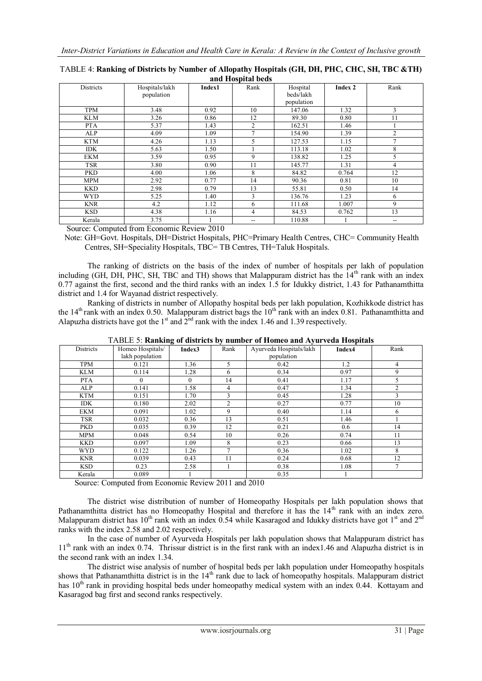| <b>Districts</b> | Hospitals/lakh | Index1 | Rank                     | Hospital   | Index 2 | Rank                                  |
|------------------|----------------|--------|--------------------------|------------|---------|---------------------------------------|
|                  | population     |        |                          | beds/lakh  |         |                                       |
|                  |                |        |                          | population |         |                                       |
| <b>TPM</b>       | 3.48           | 0.92   | 10                       | 147.06     | 1.32    | 3                                     |
| <b>KLM</b>       | 3.26           | 0.86   | 12                       | 89.30      | 0.80    | 11                                    |
| <b>PTA</b>       | 5.37           | 1.43   | 2                        | 162.51     | 1.46    |                                       |
| ALP              | 4.09           | 1.09   | $\tau$                   | 154.90     | 1.39    | $\mathfrak{D}$                        |
| <b>KTM</b>       | 4.26           | 1.13   | 5                        | 127.53     | 1.15    | $\mathcal{I}$                         |
| <b>IDK</b>       | 5.63           | 1.50   |                          | 113.18     | 1.02    | 8                                     |
| <b>EKM</b>       | 3.59           | 0.95   | 9                        | 138.82     | 1.25    | 5                                     |
| <b>TSR</b>       | 3.80           | 0.90   | 11                       | 145.77     | 1.31    | 4                                     |
| <b>PKD</b>       | 4.00           | 1.06   | 8                        | 84.82      | 0.764   | 12                                    |
| <b>MPM</b>       | 2.92           | 0.77   | 14                       | 90.36      | 0.81    | 10                                    |
| <b>KKD</b>       | 2.98           | 0.79   | 13                       | 55.81      | 0.50    | 14                                    |
| <b>WYD</b>       | 5.25           | 1.40   | 3                        | 136.76     | 1.23    | 6                                     |
| <b>KNR</b>       | 4.2            | 1.12   | 6                        | 111.68     | 1.007   | 9                                     |
| <b>KSD</b>       | 4.38           | 1.16   | 4                        | 84.53      | 0.762   | 13                                    |
| Kerala           | 3.75           |        | $\overline{\phantom{m}}$ | 110.88     |         | $\hspace{0.05cm}$ – $\hspace{0.05cm}$ |

TABLE 4: **Ranking of Districts by Number of Allopathy Hospitals (GH, DH, PHC, CHC, SH, TBC &TH) and Hospital beds**

Source: Computed from Economic Review 2010

 Note: GH=Govt. Hospitals, DH=District Hospitals, PHC=Primary Health Centres, CHC= Community Health Centres, SH=Speciality Hospitals, TBC= TB Centres, TH=Taluk Hospitals.

The ranking of districts on the basis of the index of number of hospitals per lakh of population including (GH, DH, PHC, SH, TBC and TH) shows that Malappuram district has the  $14<sup>th</sup>$  rank with an index 0.77 against the first, second and the third ranks with an index 1.5 for Idukky district, 1.43 for Pathanamthitta district and 1.4 for Wayanad district respectively.

 Ranking of districts in number of Allopathy hospital beds per lakh population, Kozhikkode district has the  $14<sup>th</sup>$  rank with an index 0.50. Malappuram district bags the  $10<sup>th</sup>$  rank with an index 0.81. Pathanamthitta and Alapuzha districts have got the  $1<sup>st</sup>$  and  $2<sup>nd</sup>$  rank with the index 1.46 and 1.39 respectively.

| <b>Districts</b> | Homeo Hospitals/ | Index3   | Rank           | Ayurveda Hospitals/lakh | Index4 | Rank           |
|------------------|------------------|----------|----------------|-------------------------|--------|----------------|
|                  | lakh population  |          |                | population              |        |                |
| <b>TPM</b>       | 0.121            | 1.36     | 5.             | 0.42                    | 1.2    | 4              |
| KLM              | 0.114            | 1.28     | 6              | 0.34                    | 0.97   | 9              |
| <b>PTA</b>       | $\Omega$         | $\Omega$ | 14             | 0.41                    | 1.17   | 5              |
| ALP              | 0.141            | 1.58     | 4              | 0.47                    | 1.34   | $\overline{2}$ |
| <b>KTM</b>       | 0.151            | 1.70     | $\mathcal{F}$  | 0.45                    | 1.28   | 3              |
| <b>IDK</b>       | 0.180            | 2.02     | $\mathfrak{D}$ | 0.27                    | 0.77   | 10             |
| EKM              | 0.091            | 1.02     | 9              | 0.40                    | 1.14   | 6              |
| <b>TSR</b>       | 0.032            | 0.36     | 13             | 0.51                    | 1.46   |                |
| <b>PKD</b>       | 0.035            | 0.39     | 12             | 0.21                    | 0.6    | 14             |
| <b>MPM</b>       | 0.048            | 0.54     | 10             | 0.26                    | 0.74   | 11             |
| <b>KKD</b>       | 0.097            | 1.09     | 8              | 0.23                    | 0.66   | 13             |
| <b>WYD</b>       | 0.122            | 1.26     | ⇁              | 0.36                    | 1.02   | 8              |
| <b>KNR</b>       | 0.039            | 0.43     | 11             | 0.24                    | 0.68   | 12             |
| <b>KSD</b>       | 0.23             | 2.58     |                | 0.38                    | 1.08   | $\mathcal{I}$  |
| Kerala           | 0.089            |          |                | 0.35                    |        |                |

TABLE 5: **Ranking of districts by number of Homeo and Ayurveda Hospitals**

Source: Computed from Economic Review 2011 and 2010

The district wise distribution of number of Homeopathy Hospitals per lakh population shows that Pathanamthitta district has no Homeopathy Hospital and therefore it has the  $14<sup>th</sup>$  rank with an index zero. Malappuram district has 10<sup>th</sup> rank with an index 0.54 while Kasaragod and Idukky districts have got 1<sup>st</sup> and 2<sup>nd</sup> ranks with the index 2.58 and 2.02 respectively.

 In the case of number of Ayurveda Hospitals per lakh population shows that Malappuram district has 11th rank with an index 0.74. Thrissur district is in the first rank with an index1.46 and Alapuzha district is in the second rank with an index 1.34.

 The district wise analysis of number of hospital beds per lakh population under Homeopathy hospitals shows that Pathanamthitta district is in the  $14<sup>th</sup>$  rank due to lack of homeopathy hospitals. Malappuram district has  $10<sup>th</sup>$  rank in providing hospital beds under homeopathy medical system with an index 0.44. Kottayam and Kasaragod bag first and second ranks respectively.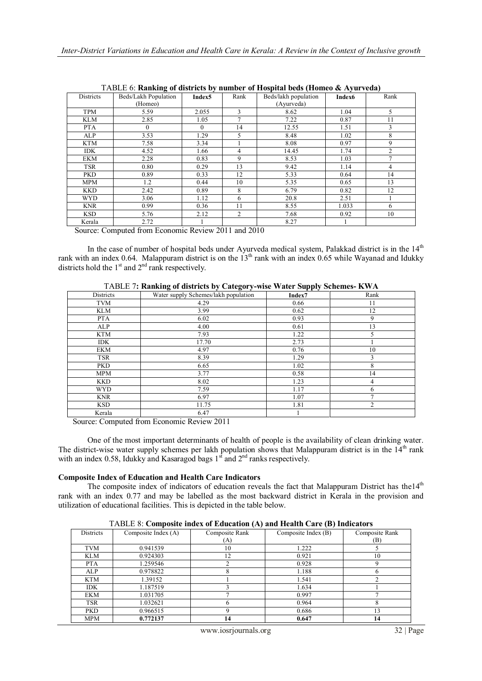| TADLE 0. Kanking of gistricts by humber of Hospital begs (Homeo & Ayul vega) |                      |          |           |                      |                    |                |
|------------------------------------------------------------------------------|----------------------|----------|-----------|----------------------|--------------------|----------------|
| <b>Districts</b>                                                             | Beds/Lakh Population | Index5   | Rank      | Beds/lakh population | Index <sub>6</sub> | Rank           |
|                                                                              | (Homeo)              |          |           | (Ayurveda)           |                    |                |
| <b>TPM</b>                                                                   | 5.59                 | 2.055    | 3         | 8.62                 | 1.04               | 5              |
| <b>KLM</b>                                                                   | 2.85                 | 1.05     |           | 7.22                 | 0.87               | 11             |
| <b>PTA</b>                                                                   | 0                    | $\theta$ | 14        | 12.55                | 1.51               | 3              |
| ALP                                                                          | 3.53                 | 1.29     | 5         | 8.48                 | 1.02               | 8              |
| KTM                                                                          | 7.58                 | 3.34     |           | 8.08                 | 0.97               | 9              |
| <b>IDK</b>                                                                   | 4.52                 | 1.66     | 4         | 14.45                | 1.74               | $\mathfrak{D}$ |
| EKM                                                                          | 2.28                 | 0.83     | 9         | 8.53                 | 1.03               |                |
| <b>TSR</b>                                                                   | 0.80                 | 0.29     | 13        | 9.42                 | 1.14               | 4              |
| <b>PKD</b>                                                                   | 0.89                 | 0.33     | 12        | 5.33                 | 0.64               | 14             |
| <b>MPM</b>                                                                   | 1.2                  | 0.44     | 10        | 5.35                 | 0.65               | 13             |
| <b>KKD</b>                                                                   | 2.42                 | 0.89     | 8         | 6.79                 | 0.82               | 12             |
| <b>WYD</b>                                                                   | 3.06                 | 1.12     | 6         | 20.8                 | 2.51               |                |
| <b>KNR</b>                                                                   | 0.99                 | 0.36     | 11        | 8.55                 | 1.033              | 6              |
| <b>KSD</b>                                                                   | 5.76                 | 2.12     | 2         | 7.68                 | 0.92               | 10             |
| Kerala<br>-                                                                  | 2.72<br>$\sim$       | . .      | ----<br>. | 8.27                 |                    |                |

TABLE 6: **Ranking of districts by number of Hospital beds (Homeo & Ayurveda)**

Source: Computed from Economic Review 2011 and 2010

In the case of number of hospital beds under Ayurveda medical system, Palakkad district is in the  $14<sup>th</sup>$ rank with an index 0.64. Malappuram district is on the  $13<sup>th</sup>$  rank with an index 0.65 while Wayanad and Idukky districts hold the  $1<sup>st</sup>$  and  $2<sup>nd</sup>$  rank respectively.

| Districts  | Water supply Schemes/lakh population | Index7 | Rank |
|------------|--------------------------------------|--------|------|
| <b>TVM</b> | 4.29                                 | 0.66   | 11   |
| KLM        | 3.99                                 | 0.62   | 12   |
| <b>PTA</b> | 6.02                                 | 0.93   | 9    |
| ALP        | 4.00                                 | 0.61   | 13   |
| <b>KTM</b> | 7.93                                 | 1.22   |      |
| <b>IDK</b> | 17.70                                | 2.73   |      |
| EKM        | 4.97                                 | 0.76   | 10   |
| <b>TSR</b> | 8.39                                 | 1.29   | 3    |
| <b>PKD</b> | 6.65                                 | 1.02   | 8    |
| <b>MPM</b> | 3.77                                 | 0.58   | 14   |
| <b>KKD</b> | 8.02                                 | 1.23   | 4    |
| <b>WYD</b> | 7.59                                 | 1.17   | 6    |
| <b>KNR</b> | 6.97                                 | 1.07   |      |
| <b>KSD</b> | 11.75                                | 1.81   | 2    |
| Kerala     | 6.47                                 |        |      |

TABLE 7**: Ranking of districts by Category-wise Water Supply Schemes- KWA**

Source: Computed from Economic Review 2011

One of the most important determinants of health of people is the availability of clean drinking water. The district-wise water supply schemes per lakh population shows that Malappuram district is in the  $14<sup>th</sup>$  rank with an index 0.58, Idukky and Kasaragod bags  $1<sup>st</sup>$  and  $2<sup>nd</sup>$  ranks respectively.

# **Composite Index of Education and Health Care Indicators**

The composite index of indicators of education reveals the fact that Malappuram District has the14<sup>th</sup> rank with an index 0.77 and may be labelled as the most backward district in Kerala in the provision and utilization of educational facilities. This is depicted in the table below.

|            | $1712220$ . Composite mues of Equeation (A) and fiealth Care (D) findeality s |                |                     |                |  |  |
|------------|-------------------------------------------------------------------------------|----------------|---------------------|----------------|--|--|
| Districts  | Composite Index (A)                                                           | Composite Rank | Composite Index (B) | Composite Rank |  |  |
|            |                                                                               | (A)            |                     | (B)            |  |  |
| TVM        | 0.941539                                                                      | 10             | 1.222               |                |  |  |
| KLM        | 0.924303                                                                      | 12             | 0.921               | 10             |  |  |
| <b>PTA</b> | 1.259546                                                                      |                | 0.928               |                |  |  |
| ALP        | 0.978822                                                                      |                | 1.188               |                |  |  |
| KTM        | 1.39152                                                                       |                | 1.541               |                |  |  |
| <b>IDK</b> | 1.187519                                                                      |                | 1.634               |                |  |  |
| EKM        | 1.031705                                                                      |                | 0.997               |                |  |  |
| <b>TSR</b> | 1.032621                                                                      | h              | 0.964               |                |  |  |
| <b>PKD</b> | 0.966515                                                                      |                | 0.686               | 13             |  |  |
| MPM        | 0.772137                                                                      | 14             | 0.647               |                |  |  |

TABLE 8: **Composite index of Education (A) and Health Care (B) Indicators**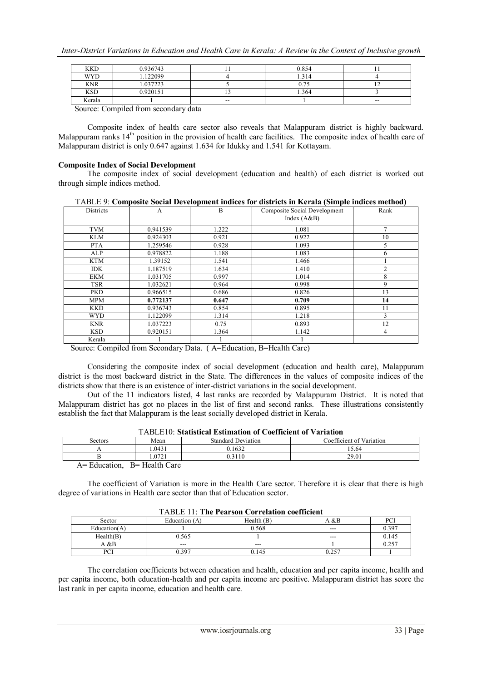| <b>KKD</b>       | 0.936743                        |               | 0.854 |       |
|------------------|---------------------------------|---------------|-------|-------|
| <b>WYD</b>       | .122099                         |               | 1.314 |       |
| <b>KNR</b>       | .037223                         |               | v.    |       |
| <b>KSD</b>       | 0.920151                        |               | 1.364 |       |
| Kerala           |                                 | $\sim$ $\sim$ |       | $- -$ |
| $\sim$<br>$\sim$ | $\cdot$ $\cdot$ $\cdot$ $\cdot$ |               |       |       |

Source: Compiled from secondary data

Composite index of health care sector also reveals that Malappuram district is highly backward. Malappuram ranks 14<sup>th</sup> position in the provision of health care facilities. The composite index of health care of Malappuram district is only 0.647 against 1.634 for Idukky and 1.541 for Kottayam.

#### **Composite Index of Social Development**

 The composite index of social development (education and health) of each district is worked out through simple indices method.

| <b>Districts</b> | A        | B     | <b>Composite Social Development</b><br>Index $(A&B)$ | Rank |
|------------------|----------|-------|------------------------------------------------------|------|
| <b>TVM</b>       | 0.941539 | 1.222 | 1.081                                                | 7    |
| <b>KLM</b>       | 0.924303 | 0.921 | 0.922                                                | 10   |
| <b>PTA</b>       | 1.259546 | 0.928 | 1.093                                                | 5    |
| ALP              | 0.978822 | 1.188 | 1.083                                                | 6    |
| <b>KTM</b>       | 1.39152  | 1.541 | 1.466                                                |      |
| <b>IDK</b>       | 1.187519 | 1.634 | 1.410                                                | 2    |
| <b>EKM</b>       | 1.031705 | 0.997 | 1.014                                                | 8    |
| <b>TSR</b>       | 1.032621 | 0.964 | 0.998                                                | 9    |
| <b>PKD</b>       | 0.966515 | 0.686 | 0.826                                                | 13   |
| <b>MPM</b>       | 0.772137 | 0.647 | 0.709                                                | 14   |
| <b>KKD</b>       | 0.936743 | 0.854 | 0.895                                                | 11   |
| <b>WYD</b>       | 1.122099 | 1.314 | 1.218                                                | 3    |
| <b>KNR</b>       | 1.037223 | 0.75  | 0.893                                                | 12   |
| <b>KSD</b>       | 0.920151 | 1.364 | 1.142                                                | 4    |
| Kerala           |          |       |                                                      |      |

Source: Compiled from Secondary Data. ( A=Education, B=Health Care)

Considering the composite index of social development (education and health care), Malappuram district is the most backward district in the State. The differences in the values of composite indices of the districts show that there is an existence of inter-district variations in the social development.

 Out of the 11 indicators listed, 4 last ranks are recorded by Malappuram District. It is noted that Malappuram district has got no places in the list of first and second ranks. These illustrations consistently establish the fact that Malappuram is the least socially developed district in Kerala.

| TADLETV. Statistical estimation of Coefficient of Variation |                  |                           |                          |  |  |
|-------------------------------------------------------------|------------------|---------------------------|--------------------------|--|--|
| Sectors                                                     | Mean             | <b>Standard Deviation</b> | Coefficient of Variation |  |  |
|                                                             | .0431            | 0.1632                    | 15.64                    |  |  |
|                                                             | 0721             | 0.3110                    | 29.01                    |  |  |
| $\Lambda - \Gamma$ duestion                                 | $D -$ Hoolth $C$ |                           |                          |  |  |

# TABLE10: **Statistical Estimation of Coefficient of Variation**

A= Education, B= Health Care

The coefficient of Variation is more in the Health Care sector. Therefore it is clear that there is high degree of variations in Health care sector than that of Education sector.

| Trubel TT. The Pearson Correlation coemercin |               |            |      |       |
|----------------------------------------------|---------------|------------|------|-------|
| Sector                                       | Education (A) | Health (B) | A &B | PCI   |
| Education $(A)$                              |               | 0.568      | ---  | 0.397 |
| Health(B)                                    | 565، ر        |            | ---  | 0.145 |
| A &B                                         | $- - -$       | ---        |      | 0.257 |
| nCT<br>FUI                                   | ).397         | 0.145      |      |       |

### TABLE 11: **The Pearson Correlation coefficient**

The correlation coefficients between education and health, education and per capita income, health and per capita income, both education-health and per capita income are positive. Malappuram district has score the last rank in per capita income, education and health care.